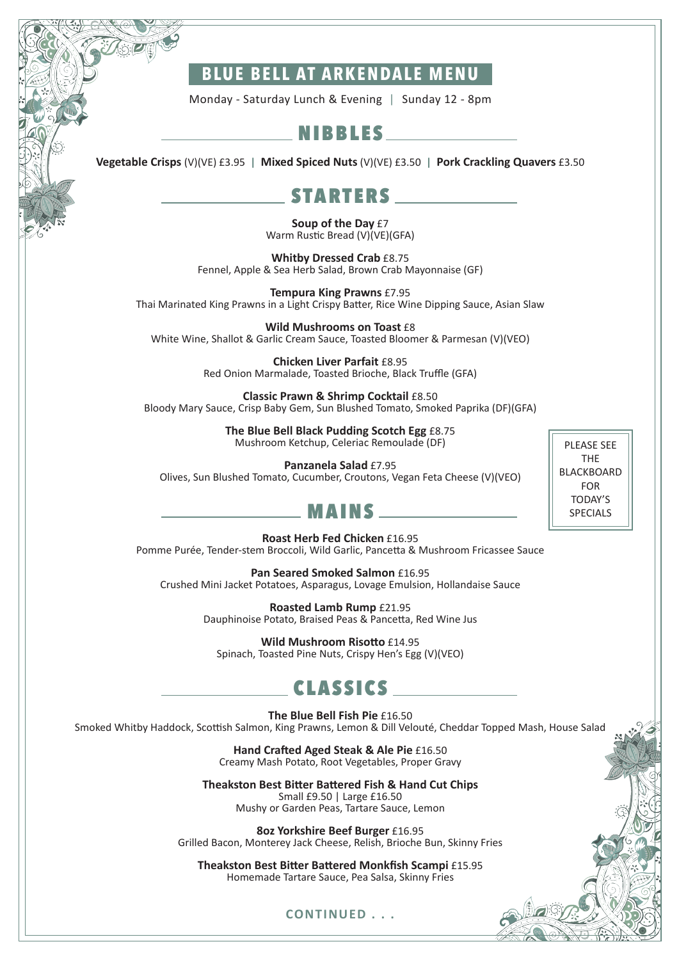### **BLUE BELL AT ARKENDALE MENU**

Monday - Saturday Lunch & Evening | Sunday 12 - 8pm

#### NIBBLES

**Vegetable Crisps** (V)(VE) £3.95 **| Mixed Spiced Nuts** (V)(VE) £3.50 **| Pork Crackling Quavers** £3.50

#### **STARTERS**

**Soup of the Day** £7 Warm Rustic Bread (V)(VE)(GFA)

**Whitby Dressed Crab** £8.75 Fennel, Apple & Sea Herb Salad, Brown Crab Mayonnaise (GF)

**Tempura King Prawns** £7.95 Thai Marinated King Prawns in a Light Crispy Batter, Rice Wine Dipping Sauce, Asian Slaw

**Wild Mushrooms on Toast** £8 White Wine, Shallot & Garlic Cream Sauce, Toasted Bloomer & Parmesan (V)(VEO)

> **Chicken Liver Parfait** £8.95 Red Onion Marmalade, Toasted Brioche, Black Truffle (GFA)

**Classic Prawn & Shrimp Cocktail** £8.50 Bloody Mary Sauce, Crisp Baby Gem, Sun Blushed Tomato, Smoked Paprika (DF)(GFA)

> **The Blue Bell Black Pudding Scotch Egg** £8.75 Mushroom Ketchup, Celeriac Remoulade (DF)

**Panzanela Salad** £7.95 Olives, Sun Blushed Tomato, Cucumber, Croutons, Vegan Feta Cheese (V)(VEO)

PLEASE SEE THE BLACKBOARD FOR TODAY'S SPECIALS

#### MAINS

**Roast Herb Fed Chicken** £16.95

Pomme Purée, Tender-stem Broccoli, Wild Garlic, Pancetta & Mushroom Fricassee Sauce

**Pan Seared Smoked Salmon** £16.95 Crushed Mini Jacket Potatoes, Asparagus, Lovage Emulsion, Hollandaise Sauce

> **Roasted Lamb Rump** £21.95 Dauphinoise Potato, Braised Peas & Pancetta, Red Wine Jus

**Wild Mushroom Risotto** £14.95 Spinach, Toasted Pine Nuts, Crispy Hen's Egg (V)(VEO)

### CLASSICS

**The Blue Bell Fish Pie** £16.50 Smoked Whitby Haddock, Scottish Salmon, King Prawns, Lemon & Dill Velouté, Cheddar Topped Mash, House Salad

> **Hand Crafted Aged Steak & Ale Pie** £16.50 Creamy Mash Potato, Root Vegetables, Proper Gravy

**Theakston Best Bitter Battered Fish & Hand Cut Chips** Small £9.50 | Large £16.50 Mushy or Garden Peas, Tartare Sauce, Lemon

**8oz Yorkshire Beef Burger** £16.95 Grilled Bacon, Monterey Jack Cheese, Relish, Brioche Bun, Skinny Fries

**Theakston Best Bitter Battered Monkfish Scampi** £15.95 Homemade Tartare Sauce, Pea Salsa, Skinny Fries

#### **CONTINUED . . .**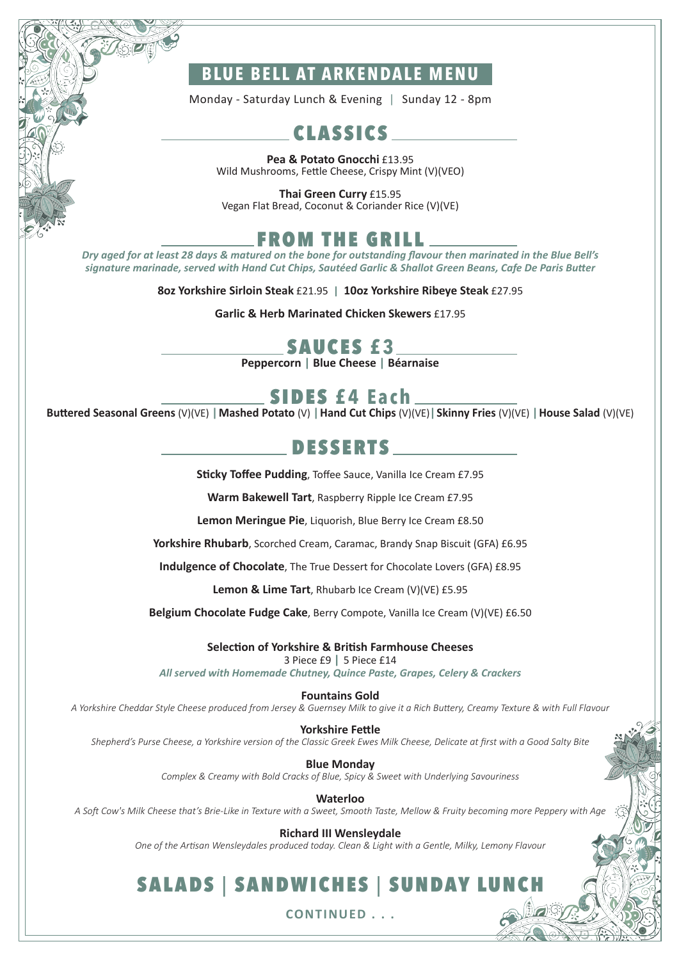### **BLUE BELL AT ARKENDALE MENU**

Monday - Saturday Lunch & Evening | Sunday 12 - 8pm

## CLASSICS

**Pea & Potato Gnocchi** £13.95 Wild Mushrooms, Fettle Cheese, Crispy Mint (V)(VEO)

**Thai Green Curry** £15.95 Vegan Flat Bread, Coconut & Coriander Rice (V)(VE)

## FROM THE GRILL

*Dry aged for at least 28 days & matured on the bone for outstanding flavour then marinated in the Blue Bell's signature marinade, served with Hand Cut Chips, Sautéed Garlic & Shallot Green Beans, Cafe De Paris Butter* 

**8oz Yorkshire Sirloin Steak** £21.95 **| 10oz Yorkshire Ribeye Steak** £27.95

**Garlic & Herb Marinated Chicken Skewers** £17.95

### SAUCES **£ 3**

**Peppercorn | Blue Cheese | Béarnaise** 

### SIDES **£4 Each**

**Buttered Seasonal Greens** (V)(VE) **|Mashed Potato** (V) **|Hand Cut Chips** (V)(VE)**|Skinny Fries** (V)(VE) **|House Salad** (V)(VE)

### DESSERTS

**Sticky Toffee Pudding**, Toffee Sauce, Vanilla Ice Cream £7.95

**Warm Bakewell Tart**, Raspberry Ripple Ice Cream £7.95

**Lemon Meringue Pie**, Liquorish, Blue Berry Ice Cream £8.50

**Yorkshire Rhubarb**, Scorched Cream, Caramac, Brandy Snap Biscuit (GFA) £6.95

**Indulgence of Chocolate**, The True Dessert for Chocolate Lovers (GFA) £8.95

**Lemon & Lime Tart**, Rhubarb Ice Cream (V)(VE) £5.95

**Belgium Chocolate Fudge Cake**, Berry Compote, Vanilla Ice Cream (V)(VE) £6.50

**Selection of Yorkshire & British Farmhouse Cheeses**

3 Piece £9 **|** 5 Piece £14

*All served with Homemade Chutney, Quince Paste, Grapes, Celery & Crackers*

**Fountains Gold** 

*A Yorkshire Cheddar Style Cheese produced from Jersey & Guernsey Milk to give it a Rich Buttery, Creamy Texture & with Full Flavour* 

**Yorkshire Fettle** 

*Shepherd's Purse Cheese, a Yorkshire version of the Classic Greek Ewes Milk Cheese, Delicate at first with a Good Salty Bite*

**Blue Monday**  *Complex & Creamy with Bold Cracks of Blue, Spicy & Sweet with Underlying Savouriness*

**Waterloo**  *A Soft Cow's Milk Cheese that's Brie-Like in Texture with a Sweet, Smooth Taste, Mellow & Fruity becoming more Peppery with Age*

> **Richard III Wensleydale**  *One of the Artisan Wensleydales produced today. Clean & Light with a Gentle, Milky, Lemony Flavour*

# SALADS | SANDWICHES | SUNDAY LU

**CONTINUED . . .**